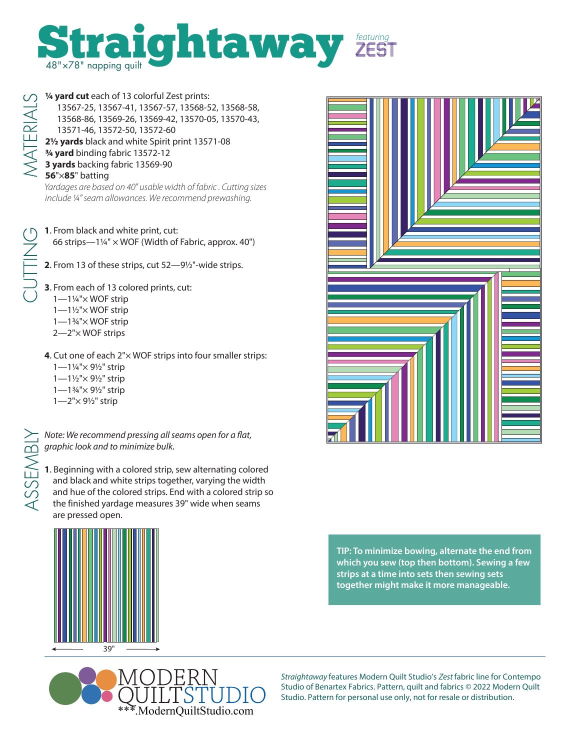

ATERIAL'

**¼ yard cut** each of 13 colorful Zest prints: 13567-25, 13567-41, 13567-57, 13568-52, 13568-58, 13568-86, 13569-26, 13569-42, 13570-05, 13570-43, 13571-46, 13572-50, 13572-60 **2½ yards** black and white Spirit print 13571-08 **¾ yard** binding fabric 13572-12 **3 yards** backing fabric 13569-90 **56**"×**85**" batting

Yardages are based on 40" usable width of fabric . Cutting sizes include ¼" seam allowances. We recommend prewashing.

- **1**. From black and white print, cut: 66 strips—1¼" × WOF (Width of Fabric, approx. 40")
- **2**. From 13 of these strips, cut 52—9½"-wide strips.

**3**. From each of 13 colored prints, cut:

- 1—1¼"× WOF strip
- 1—1½"× WOF strip
- 1—1¾"× WOF strip
- 2—2"× WOF strips
- **4**. Cut one of each 2"× WOF strips into four smaller strips:
	- 1—1¼"× 9½" strip
	- 1—1½"× 9½" strip
	- 1—1¾"× 9½" strip
	- 1—2"× 9½" strip

ASSEMBLY

Note: We recommend pressing all seams open for a flat, graphic look and to minimize bulk.

**1**. Beginning with a colored strip, sew alternating colored and black and white strips together, varying the width and hue of the colored strips. End with a colored strip so the finished yardage measures 39" wide when seams are pressed open.





Straightaway features Modern Quilt Studio's Zest fabric line for Contempo Studio of Benartex Fabrics. Pattern, quilt and fabrics © 2022 Modern Quilt Studio. Pattern for personal use only, not for resale or distribution.



**TIP: To minimize bowing, alternate the end from which you sew (top then bottom). Sewing a few strips at a time into sets then sewing sets together might make it more manageable.**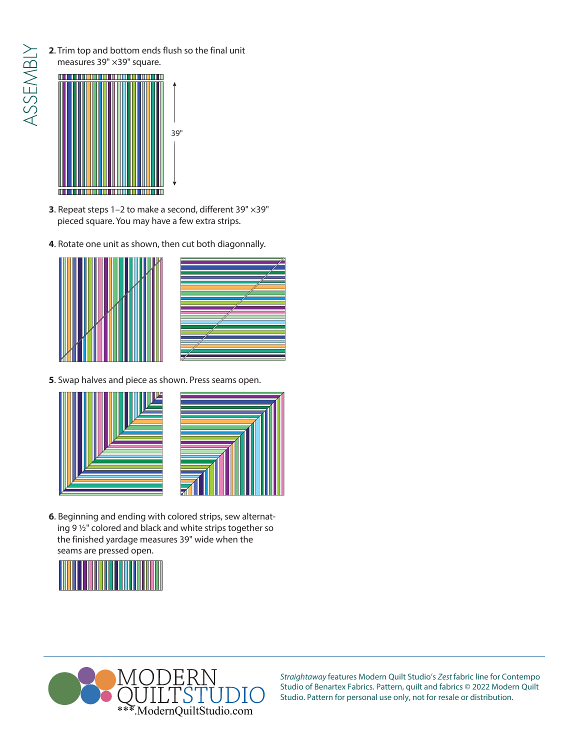- ASSEMBLY
- **2**. Trim top and bottom ends flush so the final unit measures 39" ×39" square.



- **3**. Repeat steps 1–2 to make a second, different 39" ×39" pieced square. You may have a few extra strips.
- **4**. Rotate one unit as shown, then cut both diagonnally.



**5**. Swap halves and piece as shown. Press seams open.



**6**. Beginning and ending with colored strips, sew alternating 9 ½" colored and black and white strips together so the finished yardage measures 39" wide when the seams are pressed open.





Straightaway features Modern Quilt Studio's Zest fabric line for Contempo Studio of Benartex Fabrics. Pattern, quilt and fabrics © 2022 Modern Quilt Studio. Pattern for personal use only, not for resale or distribution.